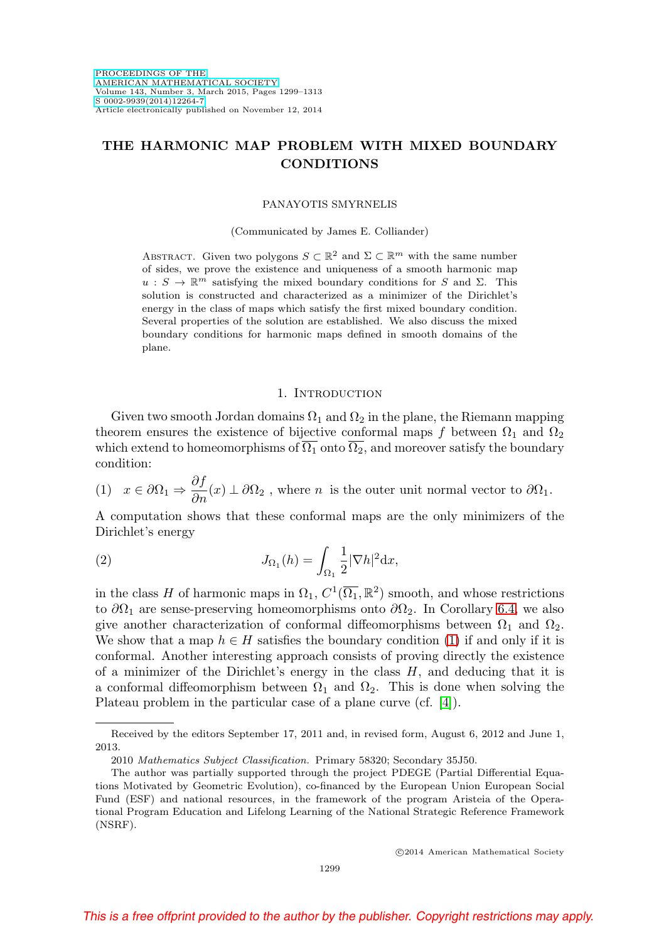# **THE HARMONIC MAP PROBLEM WITH MIXED BOUNDARY CONDITIONS**

### PANAYOTIS SMYRNELIS

(Communicated by James E. Colliander)

ABSTRACT. Given two polygons  $S \subset \mathbb{R}^2$  and  $\Sigma \subset \mathbb{R}^m$  with the same number of sides, we prove the existence and uniqueness of a smooth harmonic map  $u : S \to \mathbb{R}^m$  satisfying the mixed boundary conditions for S and  $\Sigma$ . This solution is constructed and characterized as a minimizer of the Dirichlet's energy in the class of maps which satisfy the first mixed boundary condition. Several properties of the solution are established. We also discuss the mixed boundary conditions for harmonic maps defined in smooth domains of the plane.

### 1. INTRODUCTION

Given two smooth Jordan domains  $\Omega_1$  and  $\Omega_2$  in the plane, the Riemann mapping theorem ensures the existence of bijective conformal maps f between  $\Omega_1$  and  $\Omega_2$ which extend to homeomorphisms of  $\overline{\Omega_1}$  onto  $\overline{\Omega_2}$ , and moreover satisfy the boundary condition:

<span id="page-0-0"></span>(1)  $x \in \partial \Omega_1 \Rightarrow \frac{\partial f}{\partial n}(x) \perp \partial \Omega_2$ , where *n* is the outer unit normal vector to  $\partial \Omega_1$ .

A computation shows that these conformal maps are the only minimizers of the Dirichlet's energy

(2) 
$$
J_{\Omega_1}(h) = \int_{\Omega_1} \frac{1}{2} |\nabla h|^2 dx,
$$

in the class H of harmonic maps in  $\Omega_1$ ,  $C^1(\overline{\Omega_1}, \mathbb{R}^2)$  smooth, and whose restrictions to  $\partial\Omega_1$  are sense-preserving homeomorphisms onto  $\partial\Omega_2$ . In Corollary [6.4,](#page-13-0) we also give another characterization of conformal diffeomorphisms between  $\Omega_1$  and  $\Omega_2$ . We show that a map  $h \in H$  satisfies the boundary condition [\(1\)](#page-0-0) if and only if it is conformal. Another interesting approach consists of proving directly the existence of a minimizer of the Dirichlet's energy in the class  $H$ , and deducing that it is a conformal diffeomorphism between  $\Omega_1$  and  $\Omega_2$ . This is done when solving the Plateau problem in the particular case of a plane curve (cf. [\[4\]](#page-14-0)).

Received by the editors September 17, 2011 and, in revised form, August 6, 2012 and June 1, 2013.

<sup>2010</sup> Mathematics Subject Classification. Primary 58320; Secondary 35J50.

The author was partially supported through the project PDEGE (Partial Differential Equations Motivated by Geometric Evolution), co-financed by the European Union European Social Fund (ESF) and national resources, in the framework of the program Aristeia of the Operational Program Education and Lifelong Learning of the National Strategic Reference Framework (NSRF).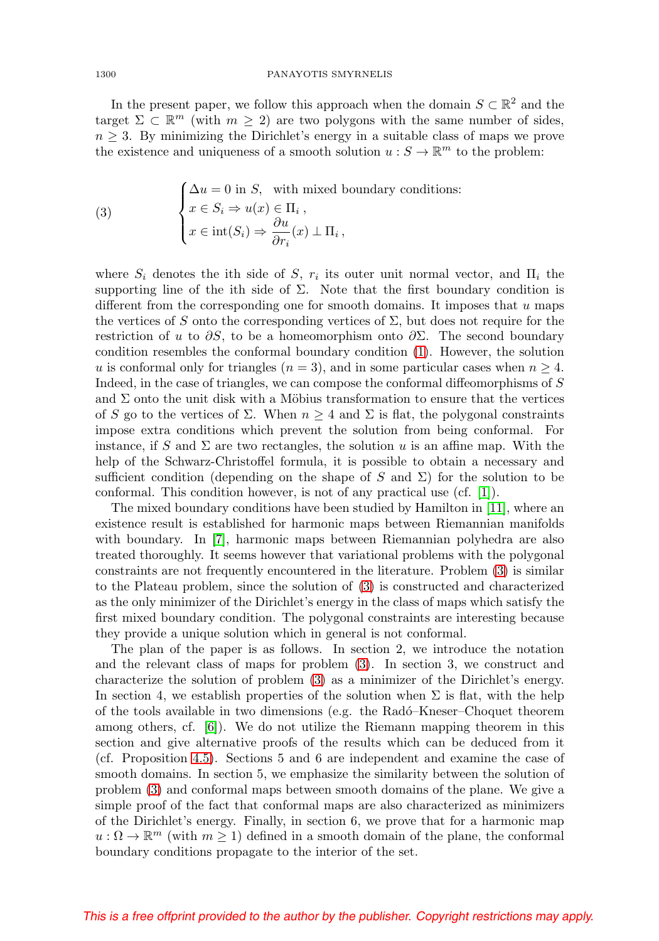In the present paper, we follow this approach when the domain  $S \subset \mathbb{R}^2$  and the target  $\Sigma \subset \mathbb{R}^m$  (with  $m \geq 2$ ) are two polygons with the same number of sides,  $n \geq 3$ . By minimizing the Dirichlet's energy in a suitable class of maps we prove the existence and uniqueness of a smooth solution  $u : S \to \mathbb{R}^m$  to the problem:

<span id="page-1-0"></span>(3) 
$$
\begin{cases} \Delta u = 0 \text{ in } S, \text{ with mixed boundary conditions:} \\ x \in S_i \Rightarrow u(x) \in \Pi_i, \\ x \in \text{int}(S_i) \Rightarrow \frac{\partial u}{\partial r_i}(x) \perp \Pi_i, \end{cases}
$$

where  $S_i$  denotes the ith side of S,  $r_i$  its outer unit normal vector, and  $\Pi_i$  the supporting line of the ith side of  $\Sigma$ . Note that the first boundary condition is different from the corresponding one for smooth domains. It imposes that u maps the vertices of S onto the corresponding vertices of  $\Sigma$ , but does not require for the restriction of u to  $\partial S$ , to be a homeomorphism onto  $\partial \Sigma$ . The second boundary condition resembles the conformal boundary condition [\(1\)](#page-0-0). However, the solution u is conformal only for triangles  $(n = 3)$ , and in some particular cases when  $n \geq 4$ . Indeed, in the case of triangles, we can compose the conformal diffeomorphisms of S and  $\Sigma$  onto the unit disk with a Möbius transformation to ensure that the vertices of S go to the vertices of  $\Sigma$ . When  $n \geq 4$  and  $\Sigma$  is flat, the polygonal constraints impose extra conditions which prevent the solution from being conformal. For instance, if S and  $\Sigma$  are two rectangles, the solution u is an affine map. With the help of the Schwarz-Christoffel formula, it is possible to obtain a necessary and sufficient condition (depending on the shape of S and  $\Sigma$ ) for the solution to be conformal. This condition however, is not of any practical use (cf. [\[1\]](#page-14-1)).

The mixed boundary conditions have been studied by Hamilton in [\[11\]](#page-14-2), where an existence result is established for harmonic maps between Riemannian manifolds with boundary. In [\[7\]](#page-14-3), harmonic maps between Riemannian polyhedra are also treated thoroughly. It seems however that variational problems with the polygonal constraints are not frequently encountered in the literature. Problem [\(3\)](#page-1-0) is similar to the Plateau problem, since the solution of [\(3\)](#page-1-0) is constructed and characterized as the only minimizer of the Dirichlet's energy in the class of maps which satisfy the first mixed boundary condition. The polygonal constraints are interesting because they provide a unique solution which in general is not conformal.

The plan of the paper is as follows. In section 2, we introduce the notation and the relevant class of maps for problem [\(3\)](#page-1-0). In section 3, we construct and characterize the solution of problem [\(3\)](#page-1-0) as a minimizer of the Dirichlet's energy. In section 4, we establish properties of the solution when  $\Sigma$  is flat, with the help of the tools available in two dimensions (e.g. the Rad´o–Kneser–Choquet theorem among others, cf. [\[6\]](#page-14-4)). We do not utilize the Riemann mapping theorem in this section and give alternative proofs of the results which can be deduced from it (cf. Proposition [4.5\)](#page-9-0). Sections 5 and 6 are independent and examine the case of smooth domains. In section 5, we emphasize the similarity between the solution of problem [\(3\)](#page-1-0) and conformal maps between smooth domains of the plane. We give a simple proof of the fact that conformal maps are also characterized as minimizers of the Dirichlet's energy. Finally, in section 6, we prove that for a harmonic map  $u : \Omega \to \mathbb{R}^m$  (with  $m \geq 1$ ) defined in a smooth domain of the plane, the conformal boundary conditions propagate to the interior of the set.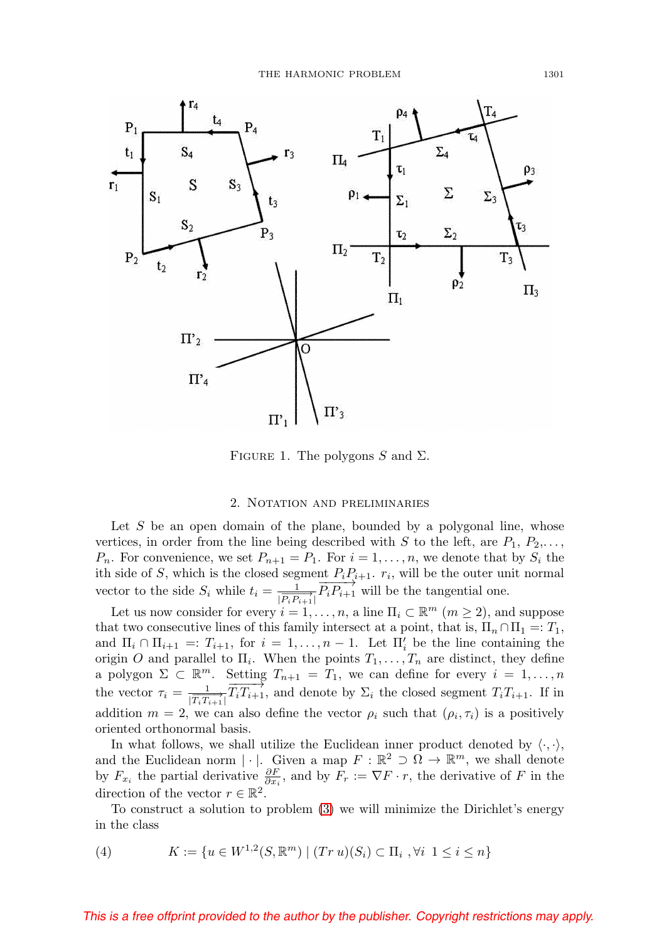

FIGURE 1. The polygons S and  $\Sigma$ .

### 2. Notation and preliminaries

Let S be an open domain of the plane, bounded by a polygonal line, whose vertices, in order from the line being described with S to the left, are  $P_1, P_2, \ldots$ ,  $P_n$ . For convenience, we set  $P_{n+1} = P_1$ . For  $i = 1, \ldots, n$ , we denote that by  $S_i$  the ith side of S, which is the closed segment  $P_iP_{i+1}$ .  $r_i$ , will be the outer unit normal vector to the side  $S_i$  while  $t_i = \frac{1}{|\overline{P_i P_{i+1}}|} \overline{P_i P_{i+1}}$  will be the tangential one.

Let us now consider for every  $i = 1, \ldots, n$ , a line  $\Pi_i \subset \mathbb{R}^m$   $(m \geq 2)$ , and suppose that two consecutive lines of this family intersect at a point, that is,  $\Pi_n \cap \Pi_1 =: T_1$ , and  $\Pi_i \cap \Pi_{i+1} =: T_{i+1}$ , for  $i = 1, ..., n-1$ . Let  $\Pi'_i$  be the line containing the origin O and parallel to  $\Pi_i$ . When the points  $T_1, \ldots, T_n$  are distinct, they define a polygon  $\Sigma \subset \mathbb{R}^m$ . Setting  $T_{n+1} = T_1$ , we can define for every  $i = 1, ..., n$ the vector  $\tau_i = \frac{1}{|\overline{T_i T_{i+1}}|} \overline{T_i T_{i+1}}$ , and denote by  $\Sigma_i$  the closed segment  $T_i T_{i+1}$ . If in addition  $m = 2$ , we can also define the vector  $\rho_i$  such that  $(\rho_i, \tau_i)$  is a positively oriented orthonormal basis.

In what follows, we shall utilize the Euclidean inner product denoted by  $\langle \cdot, \cdot \rangle$ , and the Euclidean norm  $|\cdot|$ . Given a map  $F : \mathbb{R}^2 \supset \Omega \to \mathbb{R}^m$ , we shall denote by  $F_{x_i}$  the partial derivative  $\frac{\partial F}{\partial x_i}$ , and by  $F_r := \nabla F \cdot r$ , the derivative of F in the direction of the vector  $r \in \mathbb{R}^2$ .

To construct a solution to problem [\(3\)](#page-1-0) we will minimize the Dirichlet's energy in the class

(4) 
$$
K := \{ u \in W^{1,2}(S, \mathbb{R}^m) \mid (Tr \, u)(S_i) \subset \Pi_i \; , \forall i \; 1 \leq i \leq n \}
$$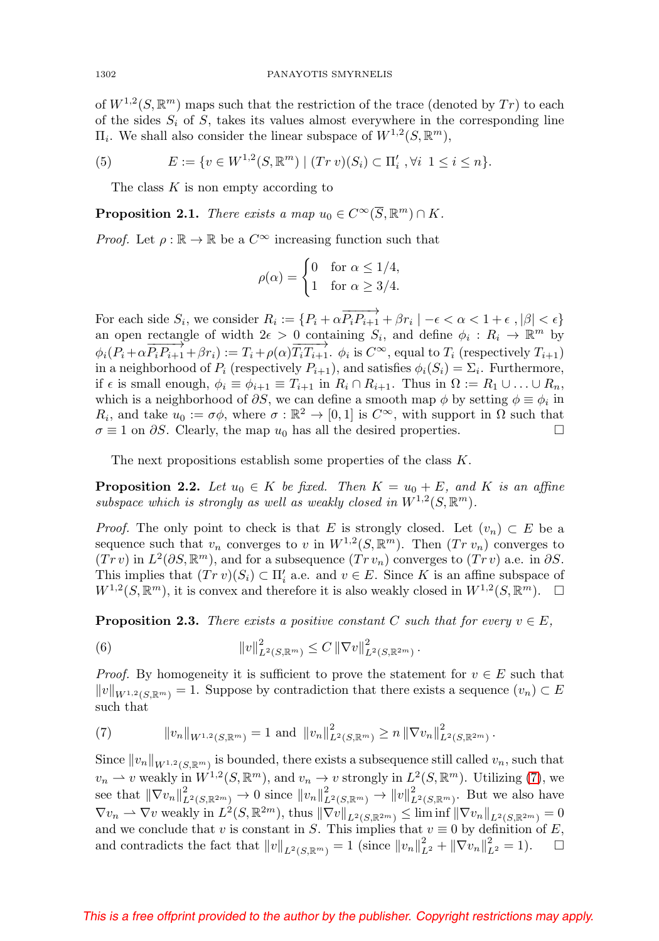of  $W^{1,2}(S,\mathbb{R}^m)$  maps such that the restriction of the trace (denoted by Tr) to each of the sides  $S_i$  of S, takes its values almost everywhere in the corresponding line  $\Pi_i$ . We shall also consider the linear subspace of  $W^{1,2}(S,\mathbb{R}^m)$ ,

(5) 
$$
E := \{ v \in W^{1,2}(S, \mathbb{R}^m) \mid (Tr \, v)(S_i) \subset \Pi'_i \; , \forall i \; 1 \leq i \leq n \}.
$$

The class K is non empty according to

<span id="page-3-1"></span>**Proposition 2.1.** There exists a map  $u_0 \in C^\infty(\overline{S}, \mathbb{R}^m) \cap K$ .

*Proof.* Let  $\rho : \mathbb{R} \to \mathbb{R}$  be a  $C^{\infty}$  increasing function such that

$$
\rho(\alpha) = \begin{cases} 0 & \text{for } \alpha \le 1/4, \\ 1 & \text{for } \alpha \ge 3/4. \end{cases}
$$

For each side  $S_i$ , we consider  $R_i := \{P_i + \alpha \overrightarrow{P_i P_{i+1}} + \beta r_i \mid -\epsilon < \alpha < 1 + \epsilon , |\beta| < \epsilon \}$ an open rectangle of width  $2\epsilon > 0$  containing  $S_i$ , and define  $\phi_i : R_i \to \mathbb{R}^m$  by  $\phi_i(P_i + \alpha \overrightarrow{P_i P_{i+1}} + \beta r_i) := T_i + \rho(\alpha) \overrightarrow{T_i T_{i+1}}$ .  $\phi_i$  is  $C^{\infty}$ , equal to  $T_i$  (respectively  $T_{i+1}$ ) in a neighborhood of  $P_i$  (respectively  $P_{i+1}$ ), and satisfies  $\phi_i(S_i)=\Sigma_i$ . Furthermore, if  $\epsilon$  is small enough,  $\phi_i \equiv \phi_{i+1} \equiv T_{i+1}$  in  $R_i \cap R_{i+1}$ . Thus in  $\Omega := R_1 \cup ... \cup R_n$ , which is a neighborhood of  $\partial S$ , we can define a smooth map  $\phi$  by setting  $\phi \equiv \phi_i$  in  $R_i$ , and take  $u_0 := \sigma \phi$ , where  $\sigma : \mathbb{R}^2 \to [0,1]$  is  $C^{\infty}$ , with support in  $\Omega$  such that  $\sigma \equiv 1$  on  $\partial S$ . Clearly, the map  $u_0$  has all the desired properties.  $\Box$ 

The next propositions establish some properties of the class K.

<span id="page-3-3"></span>**Proposition 2.2.** Let  $u_0 \in K$  be fixed. Then  $K = u_0 + E$ , and K is an affine subspace which is strongly as well as weakly closed in  $W^{1,2}(S,\mathbb{R}^m)$ .

*Proof.* The only point to check is that E is strongly closed. Let  $(v_n) \subset E$  be a sequence such that  $v_n$  converges to v in  $W^{1,2}(S,\mathbb{R}^m)$ . Then  $(Tr v_n)$  converges to  $(Trv)$  in  $L^2(\partial S,\mathbb{R}^m)$ , and for a subsequence  $(Trv_n)$  converges to  $(Trv)$  a.e. in  $\partial S$ . This implies that  $(Tr v)(S_i) \subset \Pi'_i$  a.e. and  $v \in E$ . Since K is an affine subspace of  $W^{1,2}(S,\mathbb{R}^m)$ , it is convex and therefore it is also weakly closed in  $W^{1,2}(S,\mathbb{R}^m)$ .  $\Box$ 

<span id="page-3-2"></span>**Proposition 2.3.** There exists a positive constant C such that for every  $v \in E$ ,

(6) 
$$
\|v\|_{L^2(S,\mathbb{R}^m)}^2 \leq C \|\nabla v\|_{L^2(S,\mathbb{R}^{2m})}^2.
$$

*Proof.* By homogeneity it is sufficient to prove the statement for  $v \in E$  such that  $||v||_{W^{1,2}(\mathcal{S},\mathbb{R}^m)} = 1$ . Suppose by contradiction that there exists a sequence  $(v_n) \subset E$ such that

<span id="page-3-0"></span>(7) 
$$
||v_n||_{W^{1,2}(S,\mathbb{R}^m)} = 1 \text{ and } ||v_n||_{L^2(S,\mathbb{R}^m)}^2 \ge n ||\nabla v_n||_{L^2(S,\mathbb{R}^{2m})}^2.
$$

Since  $||v_n||_{W^{1,2}(S,\mathbb{R}^m)}$  is bounded, there exists a subsequence still called  $v_n$ , such that  $v_n \rightharpoonup v$  weakly in  $W^{1,2}(S, \mathbb{R}^m)$ , and  $v_n \to v$  strongly in  $L^2(S, \mathbb{R}^m)$ . Utilizing [\(7\)](#page-3-0), we see that  $\|\nabla v_n\|_{L^2(S,\mathbb{R}^{2m})}^2 \to 0$  since  $||v_n||_{L^2(S,\mathbb{R}^m)}^2 \to ||v||_{L^2(S,\mathbb{R}^m)}^2$ . But we also have  $\nabla v_n \rightharpoonup \nabla v$  weakly in  $L^2(S, \mathbb{R}^{2m})$ , thus  $\|\nabla v\|_{L^2(S, \mathbb{R}^{2m})} \leq \liminf \|\nabla v_n\|_{L^2(S, \mathbb{R}^{2m})} = 0$ and we conclude that v is constant in S. This implies that  $v \equiv 0$  by definition of E, and contradicts the fact that  $||v||_{L^2(S,\mathbb{R}^m)} = 1$  (since  $||v_n||_{L^2}^2 + ||\nabla v_n||_{L^2}^2 = 1$ ).  $\Box$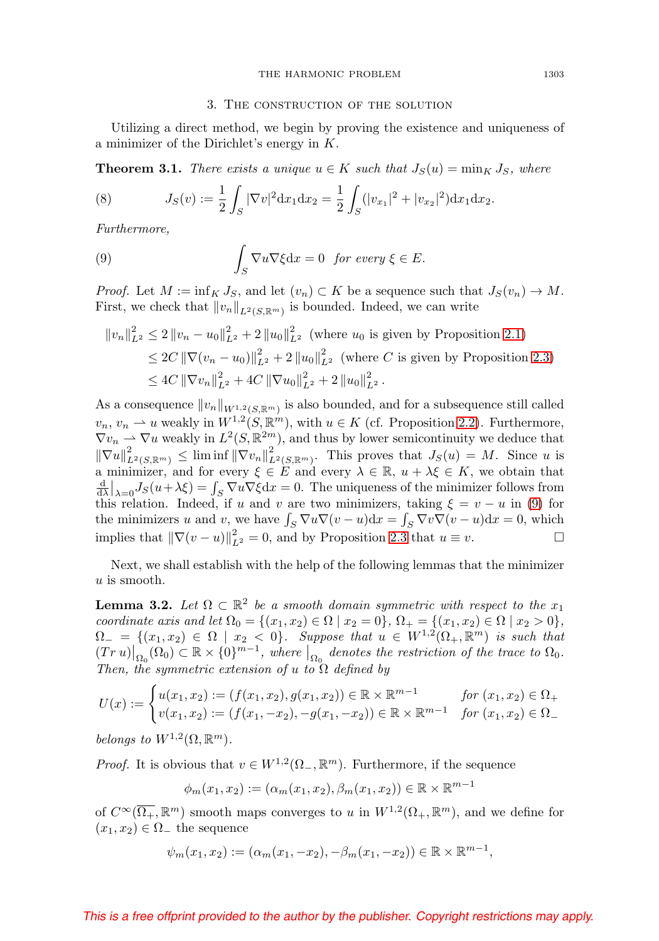### 3. The construction of the solution

Utilizing a direct method, we begin by proving the existence and uniqueness of a minimizer of the Dirichlet's energy in K.

**Theorem 3.1.** There exists a unique  $u \in K$  such that  $J_S(u) = \min_K J_S$ , where

(8) 
$$
J_S(v) := \frac{1}{2} \int_S |\nabla v|^2 dx_1 dx_2 = \frac{1}{2} \int_S (|v_{x_1}|^2 + |v_{x_2}|^2) dx_1 dx_2.
$$

Furthermore,

<span id="page-4-0"></span>(9) 
$$
\int_{S} \nabla u \nabla \xi \, dx = 0 \text{ for every } \xi \in E.
$$

*Proof.* Let  $M := \inf_{K} J_S$ , and let  $(v_n) \subset K$  be a sequence such that  $J_S(v_n) \to M$ . First, we check that  $||v_n||_{L^2(S,\mathbb{R}^m)}$  is bounded. Indeed, we can write

$$
||v_n||_{L^2}^2 \le 2 ||v_n - u_0||_{L^2}^2 + 2 ||u_0||_{L^2}^2 \text{ (where } u_0 \text{ is given by Proposition 2.1)}
$$
  
\n
$$
\le 2C ||\nabla (v_n - u_0)||_{L^2}^2 + 2 ||u_0||_{L^2}^2 \text{ (where } C \text{ is given by Proposition 2.3)}
$$
  
\n
$$
\le 4C ||\nabla v_n||_{L^2}^2 + 4C ||\nabla u_0||_{L^2}^2 + 2 ||u_0||_{L^2}^2.
$$

As a consequence  $||v_n||_{W^{1,2}(S,\mathbb{R}^m)}$  is also bounded, and for a subsequence still called  $v_n, v_n \rightharpoonup u$  weakly in  $W^{1,2}(S, \mathbb{R}^m)$ , with  $u \in K$  (cf. Proposition [2.2\)](#page-3-3). Furthermore,  $\nabla v_n \rightharpoonup \nabla u$  weakly in  $L^2(S, \mathbb{R}^{2m})$ , and thus by lower semicontinuity we deduce that  $\|\nabla u\|_{L^2(S,\mathbb{R}^m)}^2 \leq \liminf \|\nabla v_n\|_{L^2(S,\mathbb{R}^m)}^2$ . This proves that  $J_S(u) = M$ . Since u is a minimizer, and for every  $\xi \in E$  and every  $\lambda \in \mathbb{R}$ ,  $u + \lambda \xi \in K$ , we obtain that  $\frac{d}{d\lambda}\Big|_{\lambda=0}J_S(u+\lambda\xi)=\int_S\nabla u\nabla \xi\,dx=0.$  The uniqueness of the minimizer follows from this relation. Indeed, if u and v are two minimizers, taking  $\xi = v - u$  in [\(9\)](#page-4-0) for the minimizers u and v, we have  $\int_S \nabla u \nabla (v - u) \, dx = \int_S \nabla v \nabla (v - u) \, dx = 0$ , which implies that  $\|\nabla(v-u)\|_{L^2}^2 = 0$ , and by Proposition [2.3](#page-3-2) that  $u \equiv v$ .

Next, we shall establish with the help of the following lemmas that the minimizer u is smooth.

<span id="page-4-1"></span>**Lemma 3.2.** Let  $\Omega \subset \mathbb{R}^2$  be a smooth domain symmetric with respect to the  $x_1$ coordinate axis and let  $\Omega_0 = \{(x_1, x_2) \in \Omega \mid x_2 = 0\}, \Omega_+ = \{(x_1, x_2) \in \Omega \mid x_2 > 0\},\$  $\Omega_{-} = \{(x_1, x_2) \in \Omega \mid x_2 < 0\}.$  Suppose that  $u \in W^{1,2}(\Omega_+, \mathbb{R}^m)$  is such that  $(Tr u)|_{\Omega_0}(\Omega_0) \subset \mathbb{R} \times \{0\}^{m-1}$ , where  $|_{\Omega_0}$  denotes the restriction of the trace to  $\Omega_0$ . Then, the symmetric extension of u to  $\Omega$  defined by

$$
U(x) := \begin{cases} u(x_1, x_2) := (f(x_1, x_2), g(x_1, x_2)) \in \mathbb{R} \times \mathbb{R}^{m-1} & \text{for } (x_1, x_2) \in \Omega_+ \\ v(x_1, x_2) := (f(x_1, -x_2), -g(x_1, -x_2)) \in \mathbb{R} \times \mathbb{R}^{m-1} & \text{for } (x_1, x_2) \in \Omega_- \end{cases}
$$

belongs to  $W^{1,2}(\Omega,\mathbb{R}^m)$ .

*Proof.* It is obvious that  $v \in W^{1,2}(\Omega_-, \mathbb{R}^m)$ . Furthermore, if the sequence

 $\phi_m(x_1, x_2) := (\alpha_m(x_1, x_2), \beta_m(x_1, x_2)) \in \mathbb{R} \times \mathbb{R}^{m-1}$ 

of  $C^{\infty}(\overline{\Omega_+}, \mathbb{R}^m)$  smooth maps converges to u in  $W^{1,2}(\Omega_+, \mathbb{R}^m)$ , and we define for  $(x_1, x_2) \in \Omega$  the sequence

$$
\psi_m(x_1, x_2) := (\alpha_m(x_1, -x_2), -\beta_m(x_1, -x_2)) \in \mathbb{R} \times \mathbb{R}^{m-1},
$$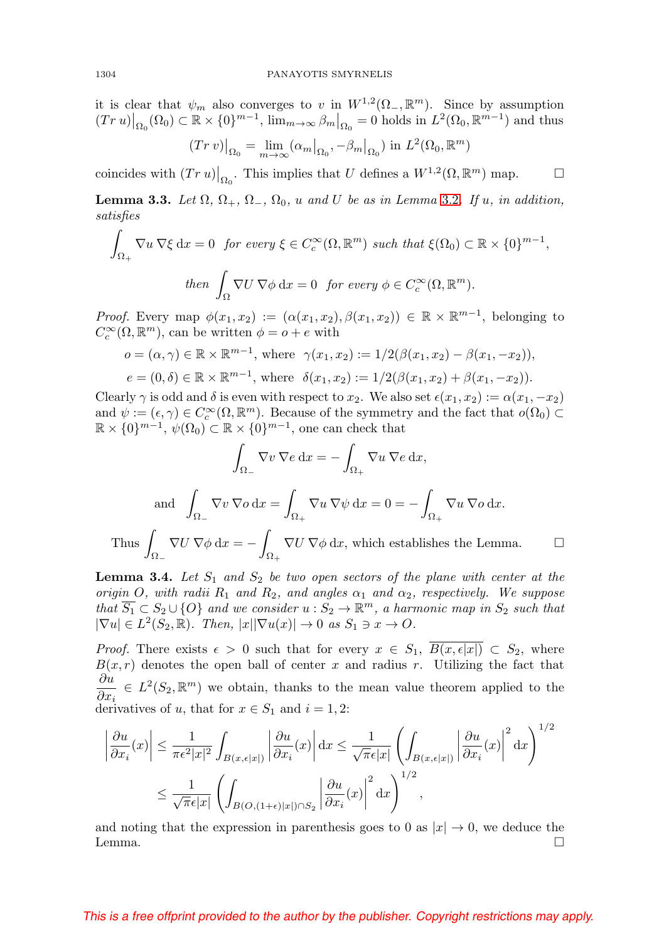it is clear that  $\psi_m$  also converges to v in  $W^{1,2}(\Omega_-, \mathbb{R}^m)$ . Since by assumption  $(Tr u)|_{\Omega_0}(\Omega_0) \subset \mathbb{R} \times \{0\}^{m-1}$ ,  $\lim_{m \to \infty} \beta_m |_{\Omega_0} = 0$  holds in  $L^2(\Omega_0, \mathbb{R}^{m-1})$  and thus

$$
(Tr\,v)|_{\Omega_0} = \lim_{m \to \infty} (\alpha_m|_{\Omega_0}, -\beta_m|_{\Omega_0}) \text{ in } L^2(\Omega_0, \mathbb{R}^m)
$$

coincides with  $(Tr u)|_{\Omega_0}$ . This implies that U defines a  $W^{1,2}(\Omega, \mathbb{R}^m)$  map.  $\Box$  $\Box$ 

<span id="page-5-0"></span>**Lemma 3.3.** Let  $\Omega$ ,  $\Omega_+$ ,  $\Omega_-$ ,  $\Omega_0$ , u and U be as in Lemma [3.2](#page-4-1). If u, in addition, satisfies

$$
\int_{\Omega_+} \nabla u \, \nabla \xi \, dx = 0 \quad \text{for every } \xi \in C_c^{\infty}(\Omega, \mathbb{R}^m) \text{ such that } \xi(\Omega_0) \subset \mathbb{R} \times \{0\}^{m-1},
$$
\n
$$
\text{then } \int_{\Omega} \nabla U \, \nabla \phi \, dx = 0 \quad \text{for every } \phi \in C_c^{\infty}(\Omega, \mathbb{R}^m).
$$

*Proof.* Every map  $\phi(x_1, x_2) := (\alpha(x_1, x_2), \beta(x_1, x_2)) \in \mathbb{R} \times \mathbb{R}^{m-1}$ , belonging to  $C_c^{\infty}(\Omega,\mathbb{R}^m)$ , can be written  $\phi = o + e$  with

$$
o = (\alpha, \gamma) \in \mathbb{R} \times \mathbb{R}^{m-1}, \text{ where } \gamma(x_1, x_2) := 1/2(\beta(x_1, x_2) - \beta(x_1, -x_2)),
$$
  

$$
e = (0, \delta) \in \mathbb{R} \times \mathbb{R}^{m-1}, \text{ where } \delta(x_1, x_2) := 1/2(\beta(x_1, x_2) + \beta(x_1, -x_2)).
$$

Clearly  $\gamma$  is odd and  $\delta$  is even with respect to  $x_2$ . We also set  $\epsilon(x_1, x_2) := \alpha(x_1, -x_2)$ and  $\psi := (\epsilon, \gamma) \in C_c^{\infty}(\Omega, \mathbb{R}^m)$ . Because of the symmetry and the fact that  $o(\Omega_0) \subset$  $\mathbb{R} \times \{0\}^{m-1}$ ,  $\psi(\Omega_0) \subset \mathbb{R} \times \{0\}^{m-1}$ , one can check that

$$
\int_{\Omega_{-}} \nabla v \, \nabla e \, dx = -\int_{\Omega_{+}} \nabla u \, \nabla e \, dx,
$$
  
and 
$$
\int_{\Omega_{-}} \nabla v \, \nabla o \, dx = \int_{\Omega_{+}} \nabla u \, \nabla \psi \, dx = 0 = -\int_{\Omega_{+}} \nabla u \, \nabla o \, dx.
$$

Thus  $\int$  $\Omega_{-}$  $\nabla U \nabla \phi \, dx = \Omega_{+}$  $\nabla U \nabla \phi \, dx$ , which establishes the Lemma.  $\Box$ 

<span id="page-5-1"></span>**Lemma 3.4.** Let  $S_1$  and  $S_2$  be two open sectors of the plane with center at the origin O, with radii  $R_1$  and  $R_2$ , and angles  $\alpha_1$  and  $\alpha_2$ , respectively. We suppose that  $\overline{S_1} \subset S_2 \cup \{O\}$  and we consider  $u : S_2 \to \mathbb{R}^m$ , a harmonic map in  $S_2$  such that  $|\nabla u| \in L^2(S_2, \mathbb{R})$ . Then,  $|x| |\nabla u(x)| \to 0$  as  $S_1 \ni x \to 0$ .

*Proof.* There exists  $\epsilon > 0$  such that for every  $x \in S_1$ ,  $B(x, \epsilon |x|) \subset S_2$ , where  $B(x, r)$  denotes the open ball of center x and radius r. Utilizing the fact that ∂u  $\frac{\partial u}{\partial x_i} \in L^2(S_2, \mathbb{R}^m)$  we obtain, thanks to the mean value theorem applied to the derivatives of u, that for  $x \in S_1$  and  $i = 1, 2$ :

$$
\left| \frac{\partial u}{\partial x_i}(x) \right| \leq \frac{1}{\pi \epsilon^2 |x|^2} \int_{B(x,\epsilon|x|)} \left| \frac{\partial u}{\partial x_i}(x) \right| dx \leq \frac{1}{\sqrt{\pi \epsilon} |x|} \left( \int_{B(x,\epsilon|x|)} \left| \frac{\partial u}{\partial x_i}(x) \right|^2 dx \right)^{1/2}
$$
  

$$
\leq \frac{1}{\sqrt{\pi \epsilon} |x|} \left( \int_{B(O,(1+\epsilon)|x|)\cap S_2} \left| \frac{\partial u}{\partial x_i}(x) \right|^2 dx \right)^{1/2},
$$

and noting that the expression in parenthesis goes to 0 as  $|x| \to 0$ , we deduce the Lemma.  $\Box$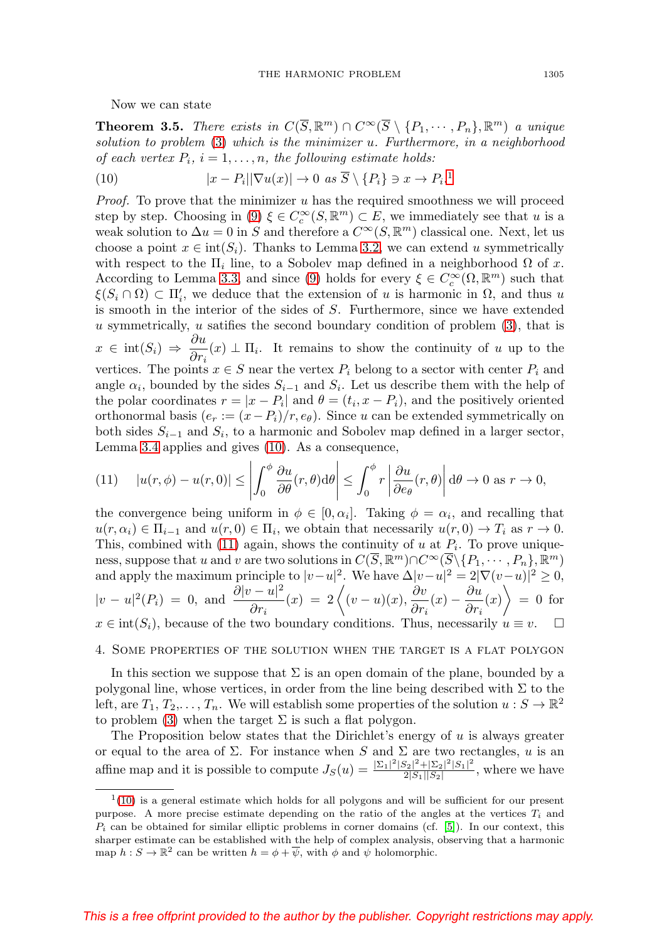Now we can state

**Theorem 3.5.** There exists in  $C(\overline{S}, \mathbb{R}^m) \cap C^{\infty}(\overline{S} \setminus \{P_1, \dots, P_n\}, \mathbb{R}^m)$  a unique solution to problem [\(3\)](#page-1-0) which is the minimizer u. Furthermore, in a neighborhood of each vertex  $P_i$ ,  $i = 1, \ldots, n$ , the following estimate holds:

<span id="page-6-1"></span>(10) 
$$
|x - P_i||\nabla u(x)| \to 0 \text{ as } \overline{S} \setminus \{P_i\} \ni x \to P_i.
$$

*Proof.* To prove that the minimizer  $u$  has the required smoothness we will proceed step by step. Choosing in [\(9\)](#page-4-0)  $\xi \in C_c^{\infty}(S, \mathbb{R}^m) \subset E$ , we immediately see that u is a weak solution to  $\Delta u = 0$  in S and therefore a  $C^{\infty}(S, \mathbb{R}^m)$  classical one. Next, let us choose a point  $x \in \text{int}(S_i)$ . Thanks to Lemma [3.2,](#page-4-1) we can extend u symmetrically with respect to the  $\Pi_i$  line, to a Sobolev map defined in a neighborhood  $\Omega$  of x. According to Lemma [3.3,](#page-5-0) and since [\(9\)](#page-4-0) holds for every  $\xi \in C_c^{\infty}(\Omega, \mathbb{R}^m)$  such that  $\xi(S_i \cap \Omega) \subset \Pi'_i$ , we deduce that the extension of u is harmonic in  $\Omega$ , and thus u is smooth in the interior of the sides of S. Furthermore, since we have extended u symmetrically,  $u$  satifies the second boundary condition of problem  $(3)$ , that is  $x \in \text{int}(S_i) \Rightarrow \frac{\partial u}{\partial x}$  $\frac{\partial u}{\partial r_i}(x) \perp \Pi_i$ . It remains to show the continuity of u up to the vertices. The points  $x \in S$  near the vertex  $P_i$  belong to a sector with center  $P_i$  and angle  $\alpha_i$ , bounded by the sides  $S_{i-1}$  and  $S_i$ . Let us describe them with the help of the polar coordinates  $r = |x - P_i|$  and  $\theta = (t_i, x - P_i)$ , and the positively oriented orthonormal basis  $(e_r := (x - P_i)/r, e_{\theta})$ . Since u can be extended symmetrically on both sides  $S_{i-1}$  and  $S_i$ , to a harmonic and Sobolev map defined in a larger sector, Lemma [3.4](#page-5-1) applies and gives [\(10\)](#page-6-1). As a consequence,

<span id="page-6-2"></span>(11) 
$$
|u(r,\phi)-u(r,0)| \leq \left| \int_0^{\phi} \frac{\partial u}{\partial \theta}(r,\theta) d\theta \right| \leq \int_0^{\phi} r \left| \frac{\partial u}{\partial e_{\theta}}(r,\theta) \right| d\theta \to 0 \text{ as } r \to 0,
$$

the convergence being uniform in  $\phi \in [0, \alpha_i]$ . Taking  $\phi = \alpha_i$ , and recalling that  $u(r, \alpha_i) \in \Pi_{i-1}$  and  $u(r, 0) \in \Pi_i$ , we obtain that necessarily  $u(r, 0) \to T_i$  as  $r \to 0$ . This, combined with [\(11\)](#page-6-2) again, shows the continuity of u at  $P_i$ . To prove uniqueness, suppose that u and v are two solutions in  $C(\overline{S}, \mathbb{R}^m) \cap C^{\infty}(\overline{S} \setminus \{P_1, \dots, P_n\}, \mathbb{R}^m)$ and apply the maximum principle to  $|v-u|^2$ . We have  $\Delta |v-u|^2 = 2|\nabla (v-u)|^2 \geq 0$ ,  $|v - u|^2(P_i) = 0$ , and  $\frac{\partial |v - u|^2}{\partial u}$  $\frac{\partial v - u|^2}{\partial r_i}(x) = 2\left\langle (v - u)(x), \frac{\partial v}{\partial r_i}(x) - \frac{\partial u}{\partial r_i}(x) \right\rangle = 0$  for  $x \in \text{int}(S_i)$ , because of the two boundary conditions. Thus, necessarily  $u \equiv v$ .  $\Box$ 

### 4. Some properties of the solution when the target is a flat polygon

In this section we suppose that  $\Sigma$  is an open domain of the plane, bounded by a polygonal line, whose vertices, in order from the line being described with  $\Sigma$  to the left, are  $T_1, T_2, \ldots, T_n$ . We will establish some properties of the solution  $u : S \to \mathbb{R}^2$ to problem [\(3\)](#page-1-0) when the target  $\Sigma$  is such a flat polygon.

The Proposition below states that the Dirichlet's energy of  $u$  is always greater or equal to the area of  $\Sigma$ . For instance when S and  $\Sigma$  are two rectangles, u is an affine map and it is possible to compute  $J_S(u) = \frac{|\Sigma_1|^2 |S_2|^2 + |\Sigma_2|^2 |S_1|^2}{2|S_1||S_2|}$ , where we have

<span id="page-6-0"></span> $1(10)$  $1(10)$  is a general estimate which holds for all polygons and will be sufficient for our present purpose. A more precise estimate depending on the ratio of the angles at the vertices  $T_i$  and  $P_i$  can be obtained for similar elliptic problems in corner domains (cf. [\[5\]](#page-14-5)). In our context, this sharper estimate can be established with the help of complex analysis, observing that a harmonic map  $h: S \to \mathbb{R}^2$  can be written  $h = \phi + \overline{\psi}$ , with  $\phi$  and  $\psi$  holomorphic.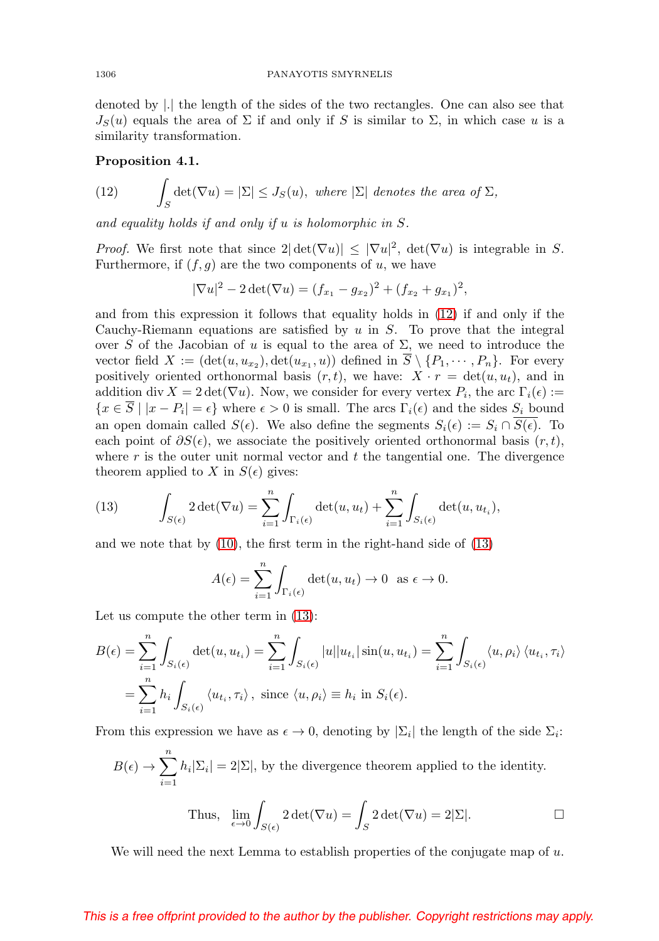denoted by |.| the length of the sides of the two rectangles. One can also see that  $J_S(u)$  equals the area of  $\Sigma$  if and only if S is similar to  $\Sigma$ , in which case u is a similarity transformation.

### <span id="page-7-2"></span>**Proposition 4.1.**

<span id="page-7-0"></span>(12) 
$$
\int_{S} \det(\nabla u) = |\Sigma| \leq J_{S}(u), \text{ where } |\Sigma| \text{ denotes the area of } \Sigma,
$$

and equality holds if and only if u is holomorphic in S.

*Proof.* We first note that since  $2|\det(\nabla u)| \leq |\nabla u|^2$ ,  $\det(\nabla u)$  is integrable in S. Furthermore, if  $(f,g)$  are the two components of u, we have

$$
|\nabla u|^2 - 2 \det(\nabla u) = (f_{x_1} - g_{x_2})^2 + (f_{x_2} + g_{x_1})^2,
$$

and from this expression it follows that equality holds in [\(12\)](#page-7-0) if and only if the Cauchy-Riemann equations are satisfied by  $u$  in  $S$ . To prove that the integral over S of the Jacobian of u is equal to the area of  $\Sigma$ , we need to introduce the vector field  $X := (\det(u, u_{x_2}), \det(u_{x_1}, u))$  defined in  $\overline{S} \setminus \{P_1, \cdots, P_n\}$ . For every positively oriented orthonormal basis  $(r, t)$ , we have:  $X \cdot r = \det(u, u_t)$ , and in addition div  $X = 2 \det(\nabla u)$ . Now, we consider for every vertex  $P_i$ , the arc  $\Gamma_i(\epsilon) :=$  ${x \in \overline{S} \mid |x - P_i| = \epsilon}$  where  $\epsilon > 0$  is small. The arcs  $\Gamma_i(\epsilon)$  and the sides  $S_i$  bound an open domain called  $S(\epsilon)$ . We also define the segments  $S_i(\epsilon) := S_i \cap S(\epsilon)$ . To each point of  $\partial S(\epsilon)$ , we associate the positively oriented orthonormal basis  $(r, t)$ , where  $r$  is the outer unit normal vector and  $t$  the tangential one. The divergence theorem applied to X in  $S(\epsilon)$  gives:

<span id="page-7-1"></span>(13) 
$$
\int_{S(\epsilon)} 2 \det(\nabla u) = \sum_{i=1}^n \int_{\Gamma_i(\epsilon)} \det(u, u_t) + \sum_{i=1}^n \int_{S_i(\epsilon)} \det(u, u_{t_i}),
$$

and we note that by [\(10\)](#page-6-1), the first term in the right-hand side of [\(13\)](#page-7-1)

$$
A(\epsilon) = \sum_{i=1}^{n} \int_{\Gamma_i(\epsilon)} \det(u, u_t) \to 0 \text{ as } \epsilon \to 0.
$$

Let us compute the other term in [\(13\)](#page-7-1):

$$
B(\epsilon) = \sum_{i=1}^{n} \int_{S_i(\epsilon)} \det(u, u_{t_i}) = \sum_{i=1}^{n} \int_{S_i(\epsilon)} |u||u_{t_i}| \sin(u, u_{t_i}) = \sum_{i=1}^{n} \int_{S_i(\epsilon)} \langle u, \rho_i \rangle \langle u_{t_i}, \tau_i \rangle
$$
  
= 
$$
\sum_{i=1}^{n} h_i \int_{S_i(\epsilon)} \langle u_{t_i}, \tau_i \rangle, \text{ since } \langle u, \rho_i \rangle \equiv h_i \text{ in } S_i(\epsilon).
$$

From this expression we have as  $\epsilon \to 0$ , denoting by  $|\Sigma_i|$  the length of the side  $\Sigma_i$ :

$$
B(\epsilon) \rightarrow \sum_{i=1}^{n} h_i |\Sigma_i| = 2|\Sigma|
$$
, by the divergence theorem applied to the identity.

Thus, 
$$
\lim_{\epsilon \to 0} \int_{S(\epsilon)} 2 \det(\nabla u) = \int_S 2 \det(\nabla u) = 2|\Sigma|
$$
.

We will need the next Lemma to establish properties of the conjugate map of  $u$ .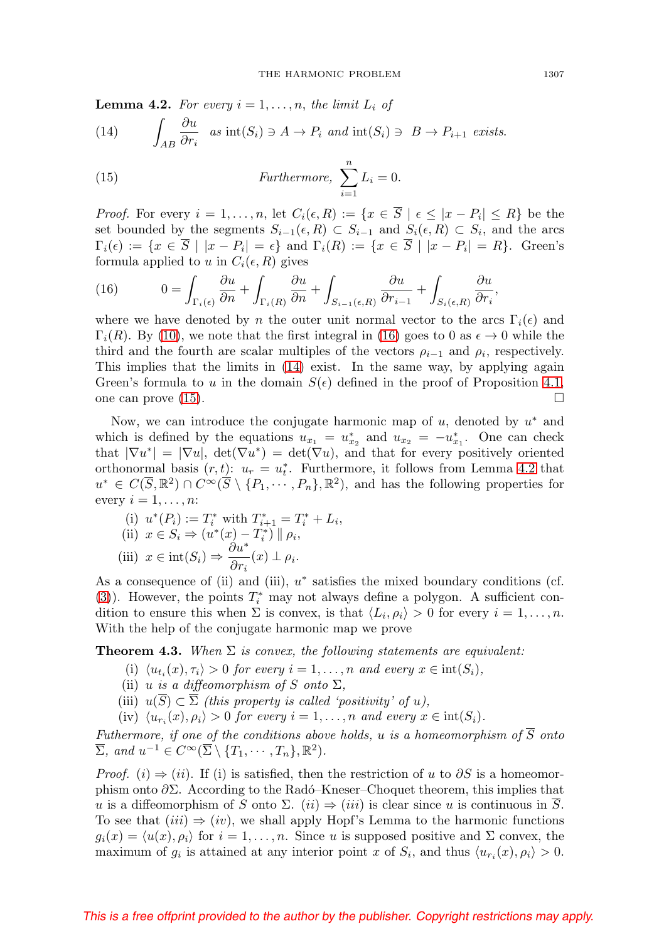<span id="page-8-3"></span>**Lemma 4.2.** For every  $i = 1, \ldots, n$ , the limit  $L_i$  of

<span id="page-8-1"></span>(14) 
$$
\int_{AB} \frac{\partial u}{\partial r_i} \quad as \quad \text{int}(S_i) \ni A \to P_i \quad and \quad \text{int}(S_i) \ni B \to P_{i+1} \quad exists.
$$

<span id="page-8-2"></span>(15) *Furthermore,* 
$$
\sum_{i=1}^{n} L_i = 0.
$$

*Proof.* For every  $i = 1, ..., n$ , let  $C_i(\epsilon, R) := \{x \in \overline{S} \mid \epsilon \leq |x - P_i| \leq R\}$  be the set bounded by the segments  $S_{i-1}(\epsilon, R) \subset S_{i-1}$  and  $S_i(\epsilon, R) \subset S_i$ , and the arcs  $\Gamma_i(\epsilon) := \{x \in \overline{S} \mid |x - P_i| = \epsilon\}$  and  $\Gamma_i(R) := \{x \in \overline{S} \mid |x - P_i| = R\}.$  Green's formula applied to u in  $C_i(\epsilon, R)$  gives

<span id="page-8-0"></span>(16) 
$$
0 = \int_{\Gamma_i(\epsilon)} \frac{\partial u}{\partial n} + \int_{\Gamma_i(R)} \frac{\partial u}{\partial n} + \int_{S_{i-1}(\epsilon,R)} \frac{\partial u}{\partial r_{i-1}} + \int_{S_i(\epsilon,R)} \frac{\partial u}{\partial r_i},
$$

where we have denoted by n the outer unit normal vector to the arcs  $\Gamma_i(\epsilon)$  and  $\Gamma_i(R)$ . By [\(10\)](#page-6-1), we note that the first integral in [\(16\)](#page-8-0) goes to 0 as  $\epsilon \to 0$  while the third and the fourth are scalar multiples of the vectors  $\rho_{i-1}$  and  $\rho_i$ , respectively. This implies that the limits in [\(14\)](#page-8-1) exist. In the same way, by applying again Green's formula to u in the domain  $S(\epsilon)$  defined in the proof of Proposition [4.1,](#page-7-2) one can prove [\(15\)](#page-8-2).  $\Box$ 

Now, we can introduce the conjugate harmonic map of  $u$ , denoted by  $u^*$  and which is defined by the equations  $u_{x_1} = u_{x_2}^*$  and  $u_{x_2} = -u_{x_1}^*$ . One can check that  $|\nabla u^*| = |\nabla u|$ ,  $\det(\nabla u^*) = \det(\nabla u)$ , and that for every positively oriented orthonormal basis  $(r, t)$ :  $u_r = u_t^*$ . Furthermore, it follows from Lemma [4.2](#page-8-3) that  $u^* \in C(\overline{S}, \mathbb{R}^2) \cap C^\infty(\overline{S} \setminus \{P_1, \cdots, P_n\}, \mathbb{R}^2)$ , and has the following properties for every  $i = 1, \ldots, n$ :

(i) 
$$
u^*(P_i) := T_i^*
$$
 with  $T_{i+1}^* = T_i^* + L_i$ ,  
\n(ii)  $x \in S_i \Rightarrow (u^*(x) - T_i^*) || \rho_i$ ,  
\n(iii)  $x \in \text{int}(S_i) \Rightarrow \frac{\partial u^*}{\partial r_i}(x) \perp \rho_i$ .

As a consequence of (ii) and (iii),  $u^*$  satisfies the mixed boundary conditions (cf. [\(3\)](#page-1-0)). However, the points  $T_i^*$  may not always define a polygon. A sufficient condition to ensure this when  $\Sigma$  is convex, is that  $\langle L_i, \rho_i \rangle > 0$  for every  $i = 1, \ldots, n$ . With the help of the conjugate harmonic map we prove

<span id="page-8-4"></span>**Theorem 4.3.** When  $\Sigma$  is convex, the following statements are equivalent:

- (i)  $\langle u_{t_i}(x), \tau_i \rangle > 0$  for every  $i = 1, \ldots, n$  and every  $x \in \text{int}(S_i)$ ,
- (ii) u is a diffeomorphism of S onto  $\Sigma$ ,
- (iii)  $u(\overline{S}) \subset \overline{\Sigma}$  (this property is called 'positivity' of u),
- (iv)  $\langle u_{r_i}(x), \rho_i \rangle > 0$  for every  $i = 1, ..., n$  and every  $x \in \text{int}(S_i)$ .

Futhermore, if one of the conditions above holds, u is a homeomorphism of  $\overline{S}$  onto  $\overline{\Sigma}$ , and  $u^{-1} \in C^{\infty}(\overline{\Sigma} \setminus \{T_1, \cdots, T_n\}, \mathbb{R}^2)$ .

*Proof.* (*i*)  $\Rightarrow$  (*ii*). If (*i*) is satisfied, then the restriction of u to  $\partial S$  is a homeomorphism onto  $\partial \Sigma$ . According to the Radó–Kneser–Choquet theorem, this implies that u is a diffeomorphism of S onto  $\Sigma$ .  $(ii) \Rightarrow (iii)$  is clear since u is continuous in S. To see that  $(iii) \Rightarrow (iv)$ , we shall apply Hopf's Lemma to the harmonic functions  $g_i(x) = \langle u(x), \rho_i \rangle$  for  $i = 1, \ldots, n$ . Since u is supposed positive and  $\Sigma$  convex, the maximum of  $g_i$  is attained at any interior point x of  $S_i$ , and thus  $\langle u_{r_i}(x), \rho_i \rangle > 0$ .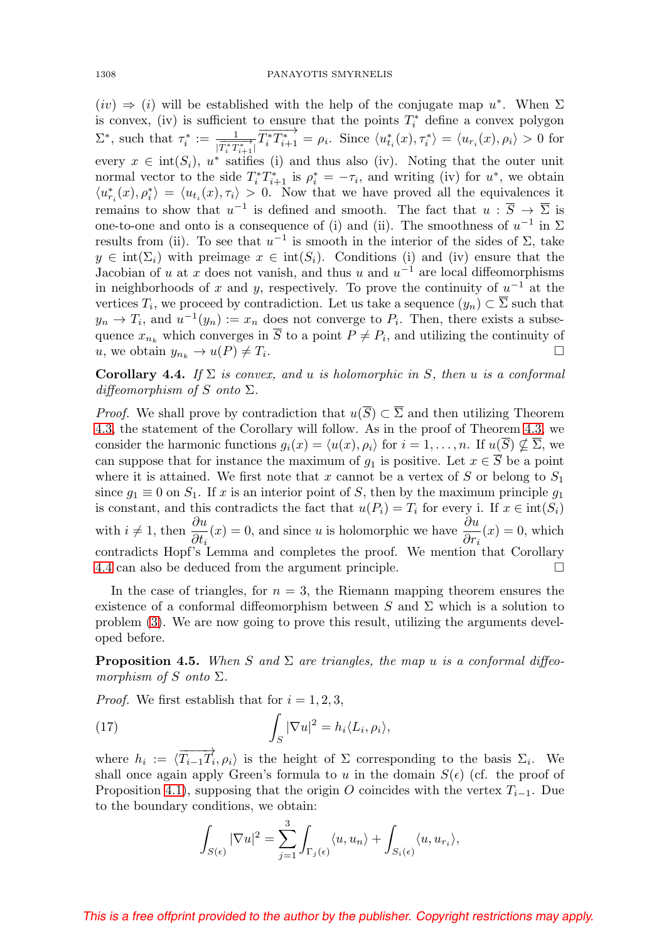$(iv) \Rightarrow (i)$  will be established with the help of the conjugate map  $u^*$ . When  $\Sigma$ is convex, (iv) is sufficient to ensure that the points  $T_i^*$  define a convex polygon  $\Sigma^*$ , such that  $\tau_i^* := \frac{1}{|\overrightarrow{T_i}^* \overrightarrow{T_{i+1}}|}$  $\overrightarrow{T_i^*T_{i+1}^*} = \rho_i$ . Since  $\langle u_{t_i}^*(x), \tau_i^* \rangle = \langle u_{r_i}(x), \rho_i \rangle > 0$  for every  $x \in \text{int}(S_i)$ ,  $u^*$  satifies (i) and thus also (iv). Noting that the outer unit normal vector to the side  $T_i^* T_{i+1}^*$  is  $\rho_i^* = -\tau_i$ , and writing (iv) for  $u^*$ , we obtain  $\langle u_{r_i}^*(x), \rho_i^* \rangle = \langle u_{t_i}(x), \tau_i \rangle > 0$ . Now that we have proved all the equivalences it remains to show that  $u^{-1}$  is defined and smooth. The fact that  $u : \overline{S} \to \overline{\Sigma}$  is one-to-one and onto is a consequence of (i) and (ii). The smoothness of  $u^{-1}$  in  $\Sigma$ results from (ii). To see that  $u^{-1}$  is smooth in the interior of the sides of  $\Sigma$ , take  $y \in \text{int}(\Sigma_i)$  with preimage  $x \in \text{int}(S_i)$ . Conditions (i) and (iv) ensure that the Jacobian of u at x does not vanish, and thus u and  $u^{-1}$  are local diffeomorphisms in neighborhoods of x and y, respectively. To prove the continuity of  $u^{-1}$  at the vertices  $T_i$ , we proceed by contradiction. Let us take a sequence  $(y_n) \subset \overline{\Sigma}$  such that  $y_n \to T_i$ , and  $u^{-1}(y_n) := x_n$  does not converge to  $P_i$ . Then, there exists a subsequence  $x_{n_k}$  which converges in  $\overline{S}$  to a point  $P \neq P_i$ , and utilizing the continuity of u, we obtain  $y_{n_k} \to u(P) \neq T_i$ .

<span id="page-9-1"></span>**Corollary 4.4.** If  $\Sigma$  is convex, and u is holomorphic in S, then u is a conformal diffeomorphism of S onto  $\Sigma$ .

*Proof.* We shall prove by contradiction that  $u(\overline{S}) \subset \overline{\Sigma}$  and then utilizing Theorem [4.3,](#page-8-4) the statement of the Corollary will follow. As in the proof of Theorem [4.3,](#page-8-4) we consider the harmonic functions  $g_i(x) = \langle u(x), \rho_i \rangle$  for  $i = 1, \ldots, n$ . If  $u(S) \nsubseteq \Sigma$ , we can suppose that for instance the maximum of  $g_1$  is positive. Let  $x \in \overline{S}$  be a point where it is attained. We first note that x cannot be a vertex of S or belong to  $S_1$ since  $g_1 \equiv 0$  on  $S_1$ . If x is an interior point of S, then by the maximum principle  $g_1$ is constant, and this contradicts the fact that  $u(P_i) = T_i$  for every i. If  $x \in \text{int}(S_i)$ with  $i \neq 1$ , then  $\frac{\partial u}{\partial t_i}(x) = 0$ , and since u is holomorphic we have  $\frac{\partial u}{\partial r_i}(x) = 0$ , which contradicts Hopf's Lemma and completes the proof. We mention that Corollary [4.4](#page-9-1) can also be deduced from the argument principle.

In the case of triangles, for  $n = 3$ , the Riemann mapping theorem ensures the existence of a conformal diffeomorphism between S and  $\Sigma$  which is a solution to problem [\(3\)](#page-1-0). We are now going to prove this result, utilizing the arguments developed before.

<span id="page-9-0"></span>**Proposition 4.5.** When S and  $\Sigma$  are triangles, the map u is a conformal diffeomorphism of S onto  $\Sigma$ .

*Proof.* We first establish that for  $i = 1, 2, 3$ ,

<span id="page-9-2"></span>(17) 
$$
\int_{S} |\nabla u|^{2} = h_{i} \langle L_{i}, \rho_{i} \rangle,
$$

where  $h_i := \langle \overrightarrow{T_{i-1}T_i}, \rho_i \rangle$  is the height of  $\Sigma$  corresponding to the basis  $\Sigma_i$ . We shall once again apply Green's formula to u in the domain  $S(\epsilon)$  (cf. the proof of Proposition [4.1\)](#page-7-2), supposing that the origin O coincides with the vertex  $T_{i-1}$ . Due to the boundary conditions, we obtain:

$$
\int_{S(\epsilon)} |\nabla u|^2 = \sum_{j=1}^3 \int_{\Gamma_j(\epsilon)} \langle u, u_n \rangle + \int_{S_i(\epsilon)} \langle u, u_{r_i} \rangle,
$$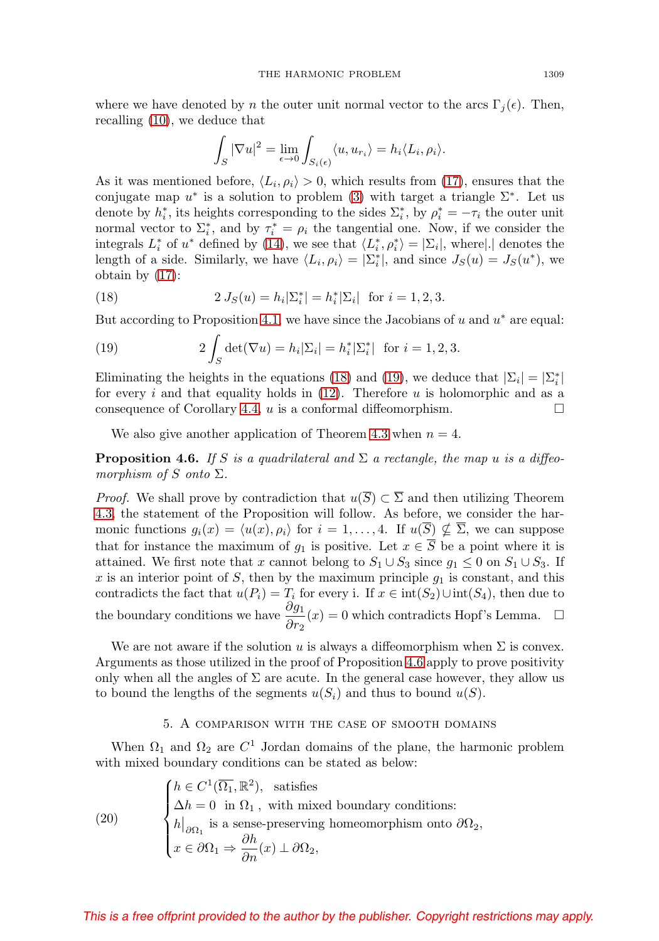where we have denoted by n the outer unit normal vector to the arcs  $\Gamma_i(\epsilon)$ . Then, recalling [\(10\)](#page-6-1), we deduce that

$$
\int_{S} |\nabla u|^2 = \lim_{\epsilon \to 0} \int_{S_i(\epsilon)} \langle u, u_{r_i} \rangle = h_i \langle L_i, \rho_i \rangle.
$$

As it was mentioned before,  $\langle L_i, \rho_i \rangle > 0$ , which results from [\(17\)](#page-9-2), ensures that the conjugate map  $u^*$  is a solution to problem [\(3\)](#page-1-0) with target a triangle  $\Sigma^*$ . Let us denote by  $h_i^*$ , its heights corresponding to the sides  $\sum_i^*$ , by  $\rho_i^* = -\tau_i$  the outer unit normal vector to  $\Sigma_i^*$ , and by  $\tau_i^* = \rho_i$  the tangential one. Now, if we consider the integrals  $L_i^*$  of  $u^*$  defined by [\(14\)](#page-8-1), we see that  $\langle L_i^*, \rho_i^* \rangle = |\Sigma_i|$ , where $|.|$  denotes the length of a side. Similarly, we have  $\langle L_i, \rho_i \rangle = |\Sigma_i^*|$ , and since  $J_S(u) = J_S(u^*)$ , we obtain by [\(17\)](#page-9-2):

<span id="page-10-0"></span>(18) 
$$
2 J_S(u) = h_i |\Sigma_i^*| = h_i^* |\Sigma_i| \text{ for } i = 1, 2, 3.
$$

But according to Proposition [4.1,](#page-7-2) we have since the Jacobians of u and  $u^*$  are equal:

<span id="page-10-1"></span>(19) 
$$
2 \int_{S} \det(\nabla u) = h_i |\Sigma_i| = h_i^* |\Sigma_i^*| \text{ for } i = 1, 2, 3.
$$

Eliminating the heights in the equations [\(18\)](#page-10-0) and [\(19\)](#page-10-1), we deduce that  $|\Sigma_i| = |\Sigma_i^*|$ for every i and that equality holds in  $(12)$ . Therefore u is holomorphic and as a consequence of Corollary [4.4,](#page-9-1)  $u$  is a conformal diffeomorphism.  $\Box$ 

We also give another application of Theorem [4.3](#page-8-4) when  $n = 4$ .

<span id="page-10-2"></span>**Proposition 4.6.** If S is a quadrilateral and  $\Sigma$  a rectangle, the map u is a diffeomorphism of S onto  $\Sigma$ .

*Proof.* We shall prove by contradiction that  $u(\overline{S}) \subset \overline{\Sigma}$  and then utilizing Theorem [4.3,](#page-8-4) the statement of the Proposition will follow. As before, we consider the harmonic functions  $g_i(x) = \langle u(x), \rho_i \rangle$  for  $i = 1, \ldots, 4$ . If  $u(S) \nsubseteq \Sigma$ , we can suppose that for instance the maximum of  $g_1$  is positive. Let  $x \in \overline{S}$  be a point where it is attained. We first note that x cannot belong to  $S_1 \cup S_3$  since  $g_1 \leq 0$  on  $S_1 \cup S_3$ . If x is an interior point of S, then by the maximum principle  $g_1$  is constant, and this contradicts the fact that  $u(P_i) = T_i$  for every i. If  $x \in \text{int}(S_2) \cup \text{int}(S_4)$ , then due to the boundary conditions we have  $\frac{\partial g_1}{\partial r_2}(x) = 0$  which contradicts Hopf's Lemma.  $\Box$ 

We are not aware if the solution u is always a diffeomorphism when  $\Sigma$  is convex. Arguments as those utilized in the proof of Proposition [4.6](#page-10-2) apply to prove positivity only when all the angles of  $\Sigma$  are acute. In the general case however, they allow us to bound the lengths of the segments  $u(S_i)$  and thus to bound  $u(S)$ .

### 5. A comparison with the case of smooth domains

When  $\Omega_1$  and  $\Omega_2$  are  $C^1$  Jordan domains of the plane, the harmonic problem with mixed boundary conditions can be stated as below:

<span id="page-10-3"></span>(20) 
$$
\begin{cases} h \in C^{1}(\overline{\Omega_{1}}, \mathbb{R}^{2}), \text{ satisfies} \\ \Delta h = 0 \text{ in } \Omega_{1}, \text{ with mixed boundary conditions:} \\ h|_{\partial \Omega_{1}} \text{ is a sense-preserving homeomorphism onto } \partial \Omega_{2}, \\ x \in \partial \Omega_{1} \Rightarrow \frac{\partial h}{\partial n}(x) \perp \partial \Omega_{2}, \end{cases}
$$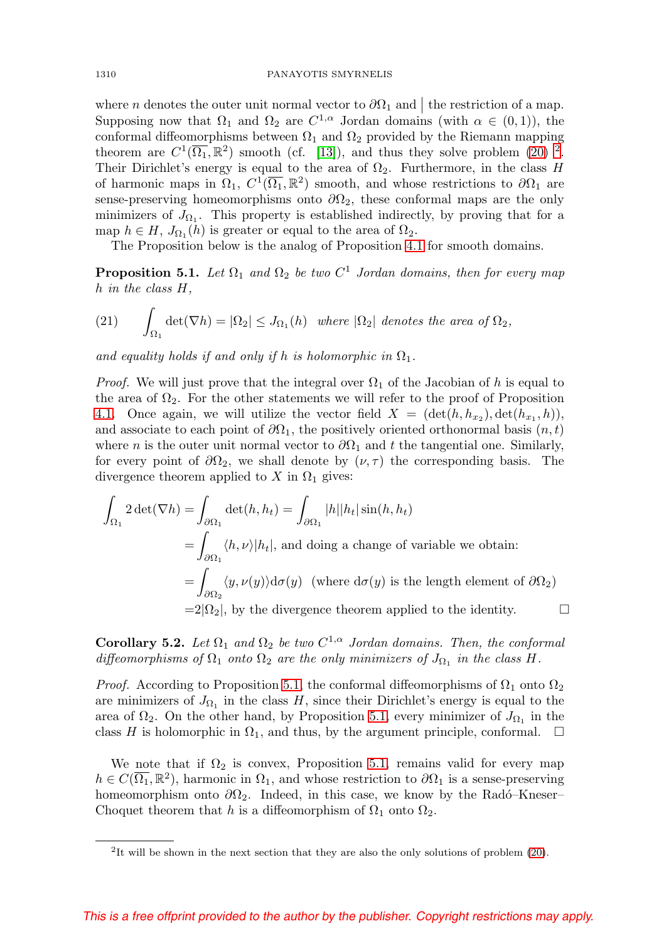where *n* denotes the outer unit normal vector to  $\partial\Omega_1$  and the restriction of a map. Supposing now that  $\Omega_1$  and  $\Omega_2$  are  $C^{1,\alpha}$  Jordan domains (with  $\alpha \in (0,1)$ ), the conformal diffeomorphisms between  $\Omega_1$  and  $\Omega_2$  provided by the Riemann mapping theorem are  $C^1(\overline{\Omega_1}, \mathbb{R}^2)$  $C^1(\overline{\Omega_1}, \mathbb{R}^2)$  $C^1(\overline{\Omega_1}, \mathbb{R}^2)$  smooth (cf. [\[13\]](#page-14-6)), and thus they solve problem [\(20\)](#page-10-3) <sup>2</sup>. Their Dirichlet's energy is equal to the area of  $\Omega_2$ . Furthermore, in the class H of harmonic maps in  $\Omega_1$ ,  $C^1(\overline{\Omega_1}, \mathbb{R}^2)$  smooth, and whose restrictions to  $\partial\Omega_1$  are sense-preserving homeomorphisms onto  $\partial\Omega_2$ , these conformal maps are the only minimizers of  $J_{\Omega_1}$ . This property is established indirectly, by proving that for a map  $h \in H$ ,  $J_{\Omega_1}(h)$  is greater or equal to the area of  $\Omega_2$ .

The Proposition below is the analog of Proposition [4.1](#page-7-2) for smooth domains.

<span id="page-11-1"></span>**Proposition 5.1.** Let  $\Omega_1$  and  $\Omega_2$  be two  $C^1$  Jordan domains, then for every map h in the class H,

(21) 
$$
\int_{\Omega_1} \det(\nabla h) = |\Omega_2| \leq J_{\Omega_1}(h) \text{ where } |\Omega_2| \text{ denotes the area of } \Omega_2,
$$

and equality holds if and only if h is holomorphic in  $\Omega_1$ .

*Proof.* We will just prove that the integral over  $\Omega_1$  of the Jacobian of h is equal to the area of  $\Omega_2$ . For the other statements we will refer to the proof of Proposition [4.1.](#page-7-2) Once again, we will utilize the vector field  $X = (\det(h, h_{x_2}), \det(h_{x_1}, h)),$ and associate to each point of  $\partial\Omega_1$ , the positively oriented orthonormal basis  $(n, t)$ where n is the outer unit normal vector to  $\partial\Omega_1$  and t the tangential one. Similarly, for every point of  $\partial\Omega_2$ , we shall denote by  $(\nu, \tau)$  the corresponding basis. The divergence theorem applied to X in  $\Omega_1$  gives:

$$
\int_{\Omega_1} 2 \det(\nabla h) = \int_{\partial \Omega_1} \det(h, h_t) = \int_{\partial \Omega_1} |h| |h_t| \sin(h, h_t)
$$
  
= 
$$
\int_{\partial \Omega_1} \langle h, \nu \rangle |h_t|
$$
, and doing a change of variable we obtain:  
= 
$$
\int_{\partial \Omega_2} \langle y, \nu(y) \rangle d\sigma(y)
$$
 (where  $d\sigma(y)$  is the length element of  $\partial \Omega_2$ )  
=  $2|\Omega_2|$ , by the divergence theorem applied to the identity.

**Corollary 5.2.** Let  $\Omega_1$  and  $\Omega_2$  be two  $C^{1,\alpha}$  Jordan domains. Then, the conformal diffeomorphisms of  $\Omega_1$  onto  $\Omega_2$  are the only minimizers of  $J_{\Omega_1}$  in the class H.

*Proof.* According to Proposition [5.1,](#page-11-1) the conformal diffeomorphisms of  $\Omega_1$  onto  $\Omega_2$ are minimizers of  $J_{\Omega_1}$  in the class H, since their Dirichlet's energy is equal to the area of  $\Omega_2$ . On the other hand, by Proposition [5.1,](#page-11-1) every minimizer of  $J_{\Omega_1}$  in the class H is holomorphic in  $\Omega_1$ , and thus, by the argument principle, conformal.  $\Box$ 

We note that if  $\Omega_2$  is convex, Proposition [5.1,](#page-11-1) remains valid for every map  $h \in C(\overline{\Omega_1}, \mathbb{R}^2)$ , harmonic in  $\Omega_1$ , and whose restriction to  $\partial \Omega_1$  is a sense-preserving homeomorphism onto  $\partial\Omega_2$ . Indeed, in this case, we know by the Radó–Kneser– Choquet theorem that h is a diffeomorphism of  $\Omega_1$  onto  $\Omega_2$ .

<span id="page-11-0"></span><sup>&</sup>lt;sup>2</sup>It will be shown in the next section that they are also the only solutions of problem [\(20\)](#page-10-3).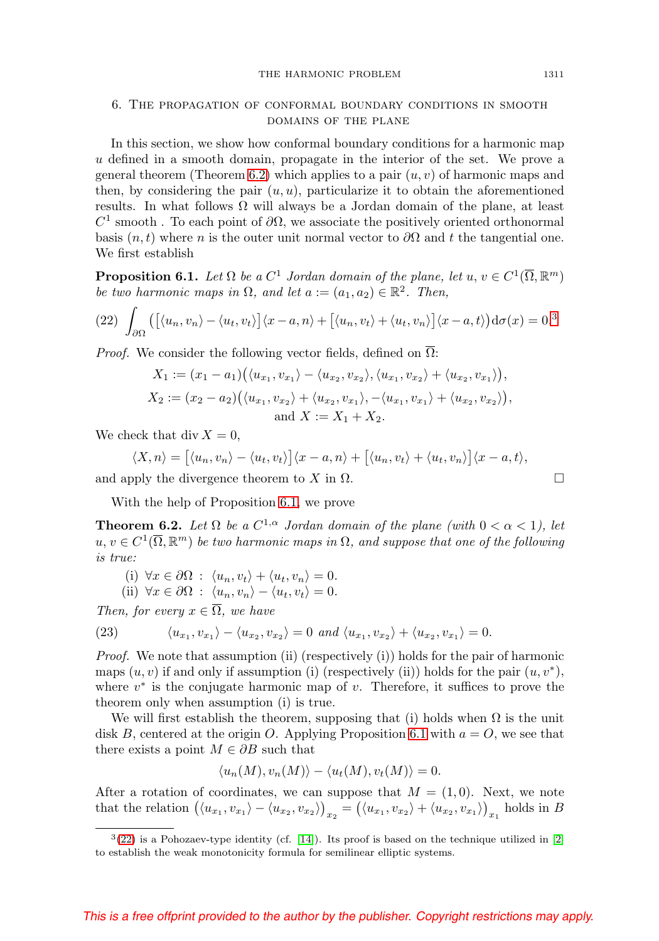#### THE HARMONIC PROBLEM 1311

## 6. The propagation of conformal boundary conditions in smooth domains of the plane

In this section, we show how conformal boundary conditions for a harmonic map u defined in a smooth domain, propagate in the interior of the set. We prove a general theorem (Theorem [6.2\)](#page-12-0) which applies to a pair  $(u, v)$  of harmonic maps and then, by considering the pair  $(u, u)$ , particularize it to obtain the aforementioned results. In what follows  $\Omega$  will always be a Jordan domain of the plane, at least  $C^1$  smooth. To each point of  $\partial\Omega$ , we associate the positively oriented orthonormal basis  $(n, t)$  where n is the outer unit normal vector to  $\partial\Omega$  and t the tangential one. We first establish

<span id="page-12-2"></span>**Proposition 6.1.** Let  $\Omega$  be a  $C^1$  Jordan domain of the plane, let  $u, v \in C^1(\overline{\Omega}, \mathbb{R}^m)$ be two harmonic maps in  $\Omega$ , and let  $a := (a_1, a_2) \in \mathbb{R}^2$ . Then,

<span id="page-12-3"></span>
$$
(22)\ \int_{\partial\Omega} \left( \left[ \langle u_n, v_n \rangle - \langle u_t, v_t \rangle \right] \langle x - a, n \rangle + \left[ \langle u_n, v_t \rangle + \langle u_t, v_n \rangle \right] \langle x - a, t \rangle \right) d\sigma(x) = 0.3
$$

*Proof.* We consider the following vector fields, defined on  $\overline{\Omega}$ :

$$
X_1 := (x_1 - a_1) (\langle u_{x_1}, v_{x_1} \rangle - \langle u_{x_2}, v_{x_2} \rangle, \langle u_{x_1}, v_{x_2} \rangle + \langle u_{x_2}, v_{x_1} \rangle),
$$
  
\n
$$
X_2 := (x_2 - a_2) (\langle u_{x_1}, v_{x_2} \rangle + \langle u_{x_2}, v_{x_1} \rangle, -\langle u_{x_1}, v_{x_1} \rangle + \langle u_{x_2}, v_{x_2} \rangle),
$$
  
\nand 
$$
X := X_1 + X_2.
$$

We check that div  $X = 0$ ,

$$
\langle X, n \rangle = \big[ \langle u_n, v_n \rangle - \langle u_t, v_t \rangle \big] \langle x - a, n \rangle + \big[ \langle u_n, v_t \rangle + \langle u_t, v_n \rangle \big] \langle x - a, t \rangle,
$$
  
and apply the divergence theorem to X in  $\Omega$ .

With the help of Proposition [6.1,](#page-12-2) we prove

<span id="page-12-0"></span>**Theorem 6.2.** Let  $\Omega$  be a  $C^{1,\alpha}$  Jordan domain of the plane (with  $0 < \alpha < 1$ ), let  $u, v \in C^1(\overline{\Omega}, \mathbb{R}^m)$  be two harmonic maps in  $\Omega$ , and suppose that one of the following is true:

(i) 
$$
\forall x \in \partial\Omega : \langle u_n, v_t \rangle + \langle u_t, v_n \rangle = 0.
$$

(ii)  $\forall x \in \partial \Omega : \langle u_n, v_n \rangle - \langle u_t, v_t \rangle = 0.$ 

Then, for every  $x \in \overline{\Omega}$ , we have

<span id="page-12-4"></span>(23) 
$$
\langle u_{x_1}, v_{x_1} \rangle - \langle u_{x_2}, v_{x_2} \rangle = 0 \text{ and } \langle u_{x_1}, v_{x_2} \rangle + \langle u_{x_2}, v_{x_1} \rangle = 0.
$$

*Proof.* We note that assumption (ii) (respectively (i)) holds for the pair of harmonic maps  $(u, v)$  if and only if assumption (i) (respectively (ii)) holds for the pair  $(u, v^*)$ , where  $v^*$  is the conjugate harmonic map of v. Therefore, it suffices to prove the theorem only when assumption (i) is true.

We will first establish the theorem, supposing that (i) holds when  $\Omega$  is the unit disk B, centered at the origin O. Applying Proposition [6.1](#page-12-2) with  $a = O$ , we see that there exists a point  $M \in \partial B$  such that

$$
\langle u_n(M), v_n(M) \rangle - \langle u_t(M), v_t(M) \rangle = 0.
$$

After a rotation of coordinates, we can suppose that  $M = (1, 0)$ . Next, we note that the relation  $((u_{x_1}, v_{x_1}) - \langle u_{x_2}, v_{x_2} \rangle)_{x_2} = (\langle u_{x_1}, v_{x_2} \rangle + \langle u_{x_2}, v_{x_1} \rangle)_{x_1}$  holds in B

<span id="page-12-1"></span> $3(22)$  $3(22)$  is a Pohozaev-type identity (cf. [\[14\]](#page-14-7)). Its proof is based on the technique utilized in [\[2\]](#page-14-8) to establish the weak monotonicity formula for semilinear elliptic systems.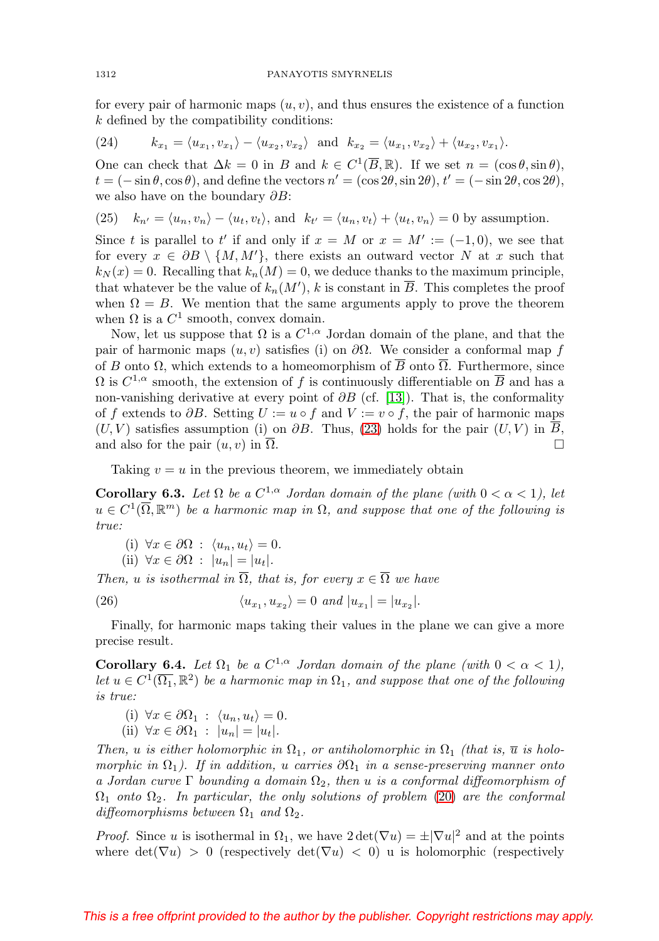for every pair of harmonic maps  $(u, v)$ , and thus ensures the existence of a function k defined by the compatibility conditions:

(24) 
$$
k_{x_1} = \langle u_{x_1}, v_{x_1} \rangle - \langle u_{x_2}, v_{x_2} \rangle
$$
 and  $k_{x_2} = \langle u_{x_1}, v_{x_2} \rangle + \langle u_{x_2}, v_{x_1} \rangle$ .

One can check that  $\Delta k = 0$  in B and  $k \in C^1(\overline{B}, \mathbb{R})$ . If we set  $n = (\cos \theta, \sin \theta)$ ,  $t = (-\sin \theta, \cos \theta)$ , and define the vectors  $n' = (\cos 2\theta, \sin 2\theta), t' = (-\sin 2\theta, \cos 2\theta)$ , we also have on the boundary  $\partial B$ :

(25) 
$$
k_{n'} = \langle u_n, v_n \rangle - \langle u_t, v_t \rangle
$$
, and  $k_{t'} = \langle u_n, v_t \rangle + \langle u_t, v_n \rangle = 0$  by assumption.

Since t is parallel to t' if and only if  $x = M$  or  $x = M' := (-1,0)$ , we see that for every  $x \in \partial B \setminus \{M, M'\},\$  there exists an outward vector N at x such that  $k_N(x) = 0$ . Recalling that  $k_n(M) = 0$ , we deduce thanks to the maximum principle, that whatever be the value of  $k_n(M')$ , k is constant in  $\overline{B}$ . This completes the proof when  $\Omega = B$ . We mention that the same arguments apply to prove the theorem when  $\Omega$  is a  $C^1$  smooth, convex domain.

Now, let us suppose that  $\Omega$  is a  $C^{1,\alpha}$  Jordan domain of the plane, and that the pair of harmonic maps  $(u, v)$  satisfies (i) on  $\partial\Omega$ . We consider a conformal map f of B onto  $\Omega$ , which extends to a homeomorphism of  $\overline{B}$  onto  $\overline{\Omega}$ . Furthermore, since  $\Omega$  is  $C^{1,\alpha}$  smooth, the extension of f is continuously differentiable on  $\overline{B}$  and has a non-vanishing derivative at every point of  $\partial B$  (cf. [\[13\]](#page-14-6)). That is, the conformality of f extends to  $\partial B$ . Setting  $U := u \circ f$  and  $V := v \circ f$ , the pair of harmonic maps  $(U, V)$  satisfies assumption (i) on  $\partial B$ . Thus, [\(23\)](#page-12-4) holds for the pair  $(U, V)$  in B, and also for the pair  $(u, v)$  in  $\overline{\Omega}$ .

Taking  $v = u$  in the previous theorem, we immediately obtain

**Corollary 6.3.** Let  $\Omega$  be a  $C^{1,\alpha}$  Jordan domain of the plane (with  $0 < \alpha < 1$ ), let  $u \in C^1(\overline{\Omega}, \mathbb{R}^m)$  be a harmonic map in  $\Omega$ , and suppose that one of the following is true:

(i) 
$$
\forall x \in \partial \Omega : \langle u_n, u_t \rangle = 0.
$$

(ii) 
$$
\forall x \in \partial \Omega : |u_n| = |u_t|
$$
.

Then, u is isothermal in  $\overline{\Omega}$ , that is, for every  $x \in \overline{\Omega}$  we have

(26) 
$$
\langle u_{x_1}, u_{x_2} \rangle = 0 \text{ and } |u_{x_1}| = |u_{x_2}|.
$$

Finally, for harmonic maps taking their values in the plane we can give a more precise result.

<span id="page-13-0"></span>**Corollary 6.4.** Let  $\Omega_1$  be a  $C^{1,\alpha}$  Jordan domain of the plane (with  $0 < \alpha < 1$ ), let  $u \in C^1(\overline{\Omega_1}, \mathbb{R}^2)$  be a harmonic map in  $\Omega_1$ , and suppose that one of the following is true:

(i) 
$$
\forall x \in \partial \Omega_1 : \langle u_n, u_t \rangle = 0.
$$

(ii) 
$$
\forall x \in \partial \Omega_1 : |u_n| = |u_t|
$$
.

Then, u is either holomorphic in  $\Omega_1$ , or antiholomorphic in  $\Omega_1$  (that is,  $\overline{u}$  is holomorphic in  $\Omega_1$ ). If in addition, u carries  $\partial\Omega_1$  in a sense-preserving manner onto a Jordan curve  $\Gamma$  bounding a domain  $\Omega_2$ , then u is a conformal diffeomorphism of  $\Omega_1$  onto  $\Omega_2$ . In particular, the only solutions of problem [\(20\)](#page-10-3) are the conformal diffeomorphisms between  $\Omega_1$  and  $\Omega_2$ .

*Proof.* Since u is isothermal in  $\Omega_1$ , we have  $2 \det(\nabla u) = \pm |\nabla u|^2$  and at the points where  $\det(\nabla u) > 0$  (respectively  $\det(\nabla u) < 0$ ) u is holomorphic (respectively